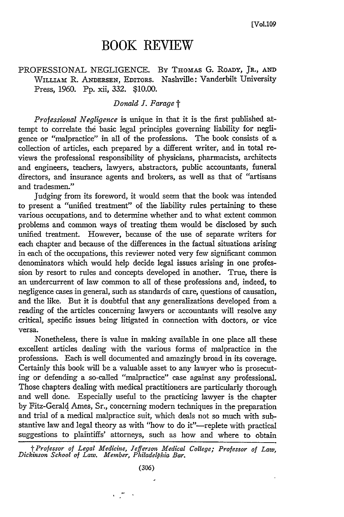## **BOOK REVIEW**

## PROFESSIONAL NEGLIGENCE. BY THOMAS G. ROADY, IR., AND **WILLIAM** R. **ANDERSEN, EDITORS.** Nashville: Vanderbilt University Press, 1960. Pp. xii, 332. \$10.00.

## *Donald J. Parage* t

*Professional Negligence* is unique in that it is the first published attempt to correlate the basic legal principles governing liability for negligence or "malpractice" in all of the professions. The book consists of a collection of articles, each prepared by a different writer, and in total reviews the professional responsibility of physicians, pharmacists, architects and engineers, teachers, lawyers, abstractors, public accountants, funeral directors, and insurance agents and brokers, as well as that of "artisans and tradesmen."

Judging from its foreword, it would seem that the book was intended to present a "unified treatment" of the liability rules pertaining to these various occupations, and to determine whether and to what extent common problems and common ways of treating them would be disclosed by such unified treatment. However, because of the use of separate writers for each chapter and because of the differences in the factual situations arising in each of the occupations, this reviewer noted very few significant common denominators which would help decide legal issues arising in one profession by resort to rules and concepts developed in another. True, there is an undercurrent of law common to all of these professions and, indeed, to negligence cases in general, such as standards of care, questions of causation, and the like. But it is doubtful that any generalizations developed from a reading of the articles concerning lawyers or accountants will resolve any critical, specific issues being litigated in connection with doctors, or vice versa.

Nonetheless, there is value in making available in one place all these excellent articles dealing with the various forms of malpractice in the professions. Each is well documented and amazingly broad in its coverage. Certainly this book will be a valuable asset to any lawyer who is prosecuting or defending a so-called "malpractice" case against any professional. Those chapters dealing with medical practitioners are particularly thorough and well done. Especially useful to the practicing lawyer is the chapter by Fitz-Gerald Ames, Sr., concerning modern techniques in the preparation and trial of a medical malpractice suit, which deals not so much with substantive law and legal theory as with "how to do it"-replete with practical suggestions to plaintiffs' attorneys, such as how and where to obtain

*t Professor of Legal Medicine, Jefferson Medical College; Professor of Law, Dickinson School of Law. Member, Philadelphia Bar.*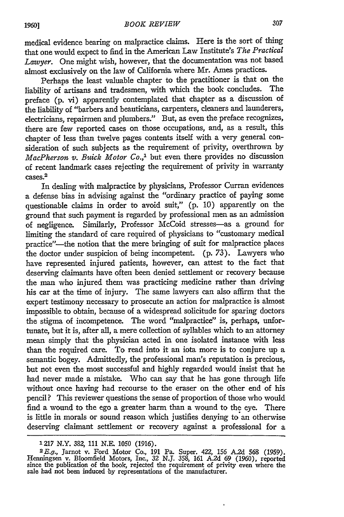medical evidence bearing on malpractice claims. Here is the sort of thing that one would expect to find in the American Law Institute's *The Practical Lawyer.* One might wish, however, that the documentation was not based almost exclusively on the law of California where Mr. Ames practices.

Perhaps the least valuable chapter to the practitioner is that on the liability of artisans and tradesmen, with which the book concludes. The preface (p. vi) apparently contemplated that chapter as a discussion of the liability of "barbers and beauticians, carpenters, cleaners and launderers, electricians, repairmen and plumbers." But, as even the preface recognizes, there are few reported cases on those occupations, and, as a result, this chapter of less than twelve pages contents itself with a very general consideration of such subjects as the requirement of privity, overthrown by *MacPherson v. Buick Motor Co.,'* but even there provides no discussion of recent landmark cases rejecting the requirement of privity in warranty cases.<sup>2</sup>

In dealing with malpractice by physicians, Professor Curran evidences a defense bias in advising against the "ordinary practice of paying some questionable claims in order to avoid suit," (p. 10) apparently on the ground that such payment is regarded by professional men as an admission of negligence. Similarly, Professor McCoid stresses-as a ground for limiting the standard of care required of physicians to "customary medical practice"-the notion that the mere bringing of suit for malpractice places the doctor under suspicion of being incompetent.  $(p. 73)$ . Lawyers who have represented injured patients, however, can attest to the fact that deserving claimants have often been denied settlement or recovery because the man who injured them was practicing medicine rather than driving his car at the time of injury. The same lawyers can also affirm that the expert testimony necessary to prosecute an action for malpractice is almost impossible to obtain, because of a widespread solicitude for sparing doctors the stigma of incompetence. The word "malpractice" is, perhaps, unfortunate, but it is, after all, a mere collection of syllables which to an attorney mean simply that the physician acted in one isolated instance with less than the required care. To read into it an iota more is to conjure up a semantic bogey. Admittedly, the professional man's reputation is precious, but not even the most successful and highly regarded would insist that he had never made a mistake. Who can say that he has gone through life without once having had recourse to the eraser on the other end of his pencil? This reviewer questions the sense of proportion of those who would find a wound to the ego a greater harm than a wound to the eye. There is little in morals or sound reason which justifies denying to an otherwise deserving claimant settlement or recovery against a professional for a

**<sup>&#</sup>x27;217** N.Y. **382, 111 N.E. 1050 (1916).** <sup>2</sup> E.g., Jarnot v. Ford Motor Co., **191** Pa. Super. 422, **156** A.2d **568** (1959). Henningsen v. Bloomfield Motors, Inc., 32 *N.J.* 358, 161 A.2d 69 (1960), reported since the publication of the book, rejected the requirement of privity even where the sale had not been induced by representations of the manufacturer.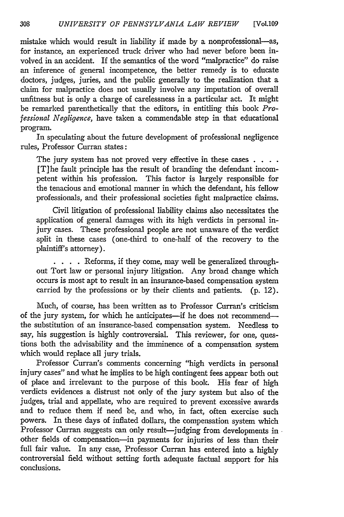mistake which would result in liability if made by a nonprofessional---as, for instance, an experienced truck driver who had never before been involved in an accident. If the semantics of the word "malpractice" do raise an inference of general incompetence, the better remedy is to educate doctors, judges, juries, and the public generally to the realization that a claim for malpractice does not usually involve any imputation of overall unfitness but is only a charge of carelessness in a particular act. It might be remarked parenthetically that the editors, in entitling this book *Professional Negligence,* have taken a commendable step in that educational program.

In speculating about the future development of professional negligence rules, Professor Curran states:

The jury system has not proved very effective in these cases  $\dots$ . [T]he fault principle has the result of branding the defendant incompetent within his profession. This factor is largely responsible for the tenacious and emotional manner in which the defendant, his fellow professionals, and their professional societies fight malpractice claims.

Civil litigation of professional liability claims also necessitates the application of general damages with its high verdicts in personal injury cases. These professional people are not unaware of the verdict split in these cases (one-third to one-half of the recovery to the plaintiff's attorney).

**... .** Reforms, if they come, may well be generalized throughout Tort law or personal injury litigation. Any broad change which occurs is most apt to result in an insurance-based compensation system carried by the professions or by their clients and patients. (p. 12).

Much, of course, has been written as to Professor Curran's criticism of the jury system, for which he anticipates—if he does not recommend the substitution of an insurance-based compensation system. Neediess to say, his suggestion is highly controversial. This reviewer, for one, questions both the advisability and the imminence of a compensation system which would replace all jury trials.

Professor Curran's comments concerning "high verdicts in personal injury cases" and what he implies to be high contingent fees appear both out of place and irrelevant to the purpose of this book. His fear of high verdicts evidences a distrust not only of the jury system but also of the judges, trial and appellate, who are required to prevent excessive awards and to reduce them if need be, and who, in fact, often exercise such powers. In these days of inflated dollars, the compensation system which Professor Curran suggests can only result-judging from developments in other fields of compensation-in payments for injuries of less than their full fair value. In any case, Professor Curran has entered into a highly controversial field without setting forth adequate factual support for his conclusions.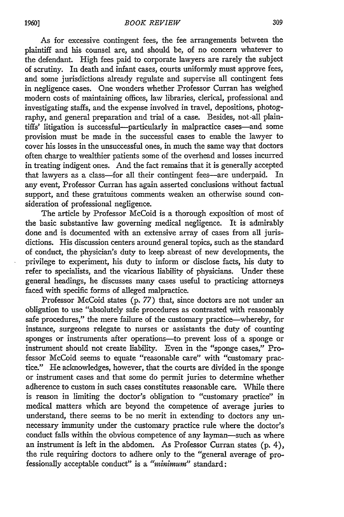As for excessive contingent fees, the fee arrangements between the plaintiff and his counsel are, and should be, of no concern whatever to the defendant. High fees paid to corporate lawyers are rarely the subject of scrutiny. In death and infant cases, courts uniformly must approve fees, and some jurisdictions already regulate and supervise all contingent fees in negligence cases. One wonders whether Professor Curran has weighed modern costs of maintaining offices, law libraries, clerical, professional and investigating staffs, and the expense involved in travel, depositions, photography, and general preparation and trial of a case. Besides, not.all plaintiffs' litigation is successful-particularly in malpractice cases-and some provision must be made in the successful cases to enable the lawyer to cover his losses in the unsuccessful ones, in much the same way that doctors often charge to wealthier patients some of the overhead and losses incurred in treating indigent ones. And the fact remains that it is generally accepted that lawyers as a class-for all their contingent fees-are underpaid. In any event, Professor Curran has again asserted conclusions without factual support, and these gratuitous comments weaken an otherwise sound consideration of professional negligence.

The article by Professor McCoid is a thorough exposition of most of the basic substantive law governing medical negligence. It is admirably done and is documented with an extensive array of cases from all jurisdictions. His discussion centers around general topics, such as the standard of conduct, the physician's duty to keep abreast of new developments, the privilege to experiment, his duty to inform or disclose facts, his duty to refer to specialists, and the vicarious liability of physicians. Under these general headings, he discusses many cases useful to practicing attorneys faced with specific forms of alleged malpractice.

Professor McCoid states (p. 77) that, since doctors are not under an obligation to use "absolutely safe procedures as contrasted with reasonably safe procedures," the mere failure of the customary practice-whereby, for instance, surgeons relegate to nurses or assistants the duty of counting sponges or instruments after operations-to prevent loss of a sponge or instrument should not create liability. Even in the "sponge cases," Professor McCoid seems to equate "reasonable care" with "customary practice." He acknowledges, however, that the courts are divided in the sponge or instrument cases and that some do permit juries to determine whether adherence to custom in such cases constitutes reasonable care. While there is reason in limiting the doctor's obligation to "customary practice" in medical matters which are beyond the competence of average juries to understand, there seems to be no merit in extending to doctors any unnecessary immunity under the customary practice rule where the doctor's conduct falls within the obvious competence of any layman-such as where an instrument is left in the abdomen. As Professor Curran states (p. 4), the rule requiring doctors to adhere only to the "general average of professionally acceptable conduct" is a *"minimum"* standard: